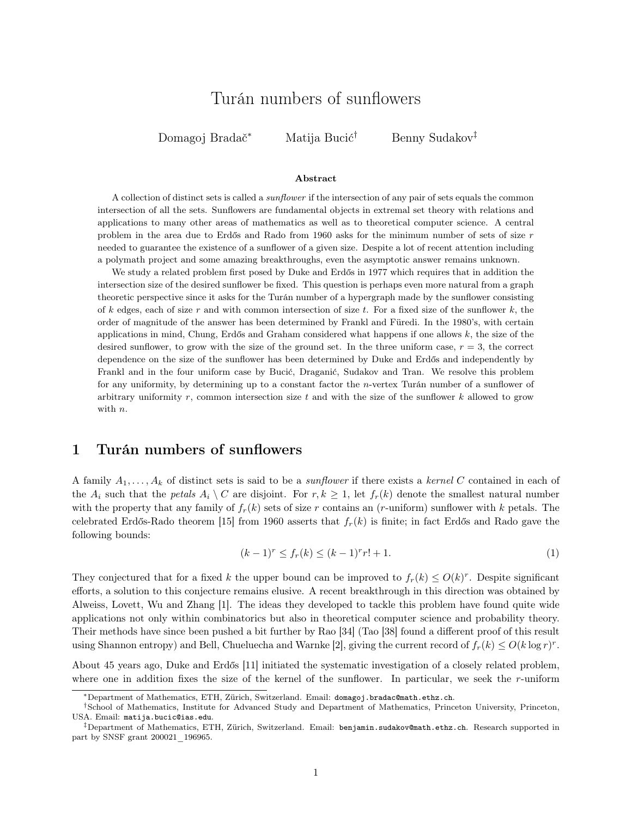# Turán numbers of sunflowers

Domagoj Bradač<sup>∗</sup> Matija Bucić† Benny Sudakov‡

#### Abstract

A collection of distinct sets is called a sunflower if the intersection of any pair of sets equals the common intersection of all the sets. Sunflowers are fundamental objects in extremal set theory with relations and applications to many other areas of mathematics as well as to theoretical computer science. A central problem in the area due to Erdős and Rado from 1960 asks for the minimum number of sets of size r needed to guarantee the existence of a sunflower of a given size. Despite a lot of recent attention including a polymath project and some amazing breakthroughs, even the asymptotic answer remains unknown.

We study a related problem first posed by Duke and Erdős in 1977 which requires that in addition the intersection size of the desired sunflower be fixed. This question is perhaps even more natural from a graph theoretic perspective since it asks for the Turán number of a hypergraph made by the sunflower consisting of k edges, each of size r and with common intersection of size t. For a fixed size of the sunflower k, the order of magnitude of the answer has been determined by Frankl and Füredi. In the 1980's, with certain applications in mind, Chung, Erdős and Graham considered what happens if one allows  $k$ , the size of the desired sunflower, to grow with the size of the ground set. In the three uniform case,  $r = 3$ , the correct dependence on the size of the sunflower has been determined by Duke and Erdős and independently by Frankl and in the four uniform case by Bucić, Draganić, Sudakov and Tran. We resolve this problem for any uniformity, by determining up to a constant factor the n-vertex Turán number of a sunflower of arbitrary uniformity  $r$ , common intersection size  $t$  and with the size of the sunflower  $k$  allowed to grow with  $n$ .

### 1 Turán numbers of sunflowers

A family  $A_1, \ldots, A_k$  of distinct sets is said to be a *sunflower* if there exists a kernel C contained in each of the  $A_i$  such that the petals  $A_i \setminus C$  are disjoint. For  $r, k \geq 1$ , let  $f_r(k)$  denote the smallest natural number with the property that any family of  $f_r(k)$  sets of size r contains an (r-uniform) sunflower with k petals. The celebrated Erdős-Rado theorem [\[15\]](#page-11-0) from 1960 asserts that  $f_r(k)$  is finite; in fact Erdős and Rado gave the following bounds:

$$
(k-1)^r \le f_r(k) \le (k-1)^r r! + 1. \tag{1}
$$

They conjectured that for a fixed k the upper bound can be improved to  $f_r(k) \leq O(k)^r$ . Despite significant efforts, a solution to this conjecture remains elusive. A recent breakthrough in this direction was obtained by Alweiss, Lovett, Wu and Zhang [\[1\]](#page-10-0). The ideas they developed to tackle this problem have found quite wide applications not only within combinatorics but also in theoretical computer science and probability theory. Their methods have since been pushed a bit further by Rao [\[34\]](#page-12-0) (Tao [\[38\]](#page-12-1) found a different proof of this result using Shannon entropy) and Bell, Chueluecha and Warnke [\[2\]](#page-10-1), giving the current record of  $f_r(k) \leq O(k \log r)^r$ .

About 45 years ago, Duke and Erdős [\[11\]](#page-11-1) initiated the systematic investigation of a closely related problem, where one in addition fixes the size of the kernel of the sunflower. In particular, we seek the r-uniform

<sup>∗</sup>Department of Mathematics, ETH, Zürich, Switzerland. Email: [domagoj.bradac@math.ethz.ch](mailto:domagoj.bradac@math.ethz.ch).

<sup>†</sup>School of Mathematics, Institute for Advanced Study and Department of Mathematics, Princeton University, Princeton, USA. Email: [matija.bucic@ias.edu](mailto:matija.bucic@ias.edu).

<sup>‡</sup>Department of Mathematics, ETH, Zürich, Switzerland. Email: [benjamin.sudakov@math.ethz.ch](mailto:benjamin.sudakov@math.ethz.ch). Research supported in part by SNSF grant 200021\_196965.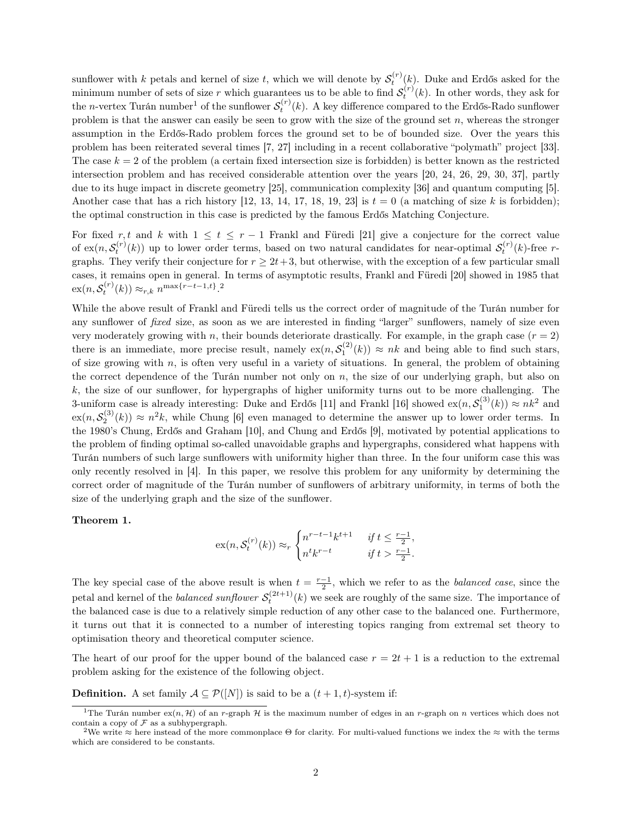sunflower with k petals and kernel of size t, which we will denote by  $\mathcal{S}_t^{(r)}(k)$ . Duke and Erdős asked for the minimum number of sets of size r which guarantees us to be able to find  $S_t^{(r)}(k)$ . In other words, they ask for the *n*-vertex Turán number<sup>[1](#page-1-0)</sup> of the sunflower  $S_t^{(r)}(k)$ . A key difference compared to the Erdős-Rado sunflower problem is that the answer can easily be seen to grow with the size of the ground set  $n$ , whereas the stronger assumption in the Erdős-Rado problem forces the ground set to be of bounded size. Over the years this problem has been reiterated several times [\[7,](#page-11-2) [27\]](#page-11-3) including in a recent collaborative "polymath" project [\[33\]](#page-12-2). The case  $k = 2$  of the problem (a certain fixed intersection size is forbidden) is better known as the restricted intersection problem and has received considerable attention over the years [\[20,](#page-11-4) [24,](#page-11-5) [26,](#page-11-6) [29,](#page-11-7) [30,](#page-11-8) [37\]](#page-12-3), partly due to its huge impact in discrete geometry [\[25\]](#page-11-9), communication complexity [\[36\]](#page-12-4) and quantum computing [\[5\]](#page-11-10). Another case that has a rich history [\[12,](#page-11-11) [13,](#page-11-12) [14,](#page-11-13) [17,](#page-11-14) [18,](#page-11-15) [19,](#page-11-16) [23\]](#page-11-17) is  $t = 0$  (a matching of size k is forbidden); the optimal construction in this case is predicted by the famous Erdős Matching Conjecture.

For fixed r, t and k with  $1 \leq t \leq r-1$  Frankl and Füredi [\[21\]](#page-11-18) give a conjecture for the correct value of  $ex(n, S_t^{(r)}(k))$  up to lower order terms, based on two natural candidates for near-optimal  $S_t^{(r)}(k)$ -free rgraphs. They verify their conjecture for  $r > 2t+3$ , but otherwise, with the exception of a few particular small cases, it remains open in general. In terms of asymptotic results, Frankl and Füredi [\[20\]](#page-11-4) showed in 1985 that  $\operatorname{ex}(n, \mathcal{S}_t^{(r)}(k)) \approx_{r,k} n^{\max\{r-t-1, t\}}$ .<sup>[2](#page-1-1)</sup>

While the above result of Frankl and Füredi tells us the correct order of magnitude of the Turán number for any sunflower of fixed size, as soon as we are interested in finding "larger" sunflowers, namely of size even very moderately growing with n, their bounds deteriorate drastically. For example, in the graph case  $(r = 2)$ there is an immediate, more precise result, namely  $ex(n, S_1^{(2)}(k)) \approx nk$  and being able to find such stars, of size growing with  $n$ , is often very useful in a variety of situations. In general, the problem of obtaining the correct dependence of the Turán number not only on  $n$ , the size of our underlying graph, but also on k, the size of our sunflower, for hypergraphs of higher uniformity turns out to be more challenging. The 3-uniform case is already interesting: Duke and Erdős [\[11\]](#page-11-1) and Frankl [\[16\]](#page-11-19) showed  $ex(n, S_1^{(3)}(k)) \approx nk^2$  and  $\exp(n, S_2^{(3)}(k)) \approx n^2k$ , while Chung [\[6\]](#page-11-20) even managed to determine the answer up to lower order terms. In the 1980's Chung, Erdős and Graham [\[10\]](#page-11-21), and Chung and Erdős [\[9\]](#page-11-22), motivated by potential applications to the problem of finding optimal so-called unavoidable graphs and hypergraphs, considered what happens with Turán numbers of such large sunflowers with uniformity higher than three. In the four uniform case this was only recently resolved in [\[4\]](#page-11-23). In this paper, we resolve this problem for any uniformity by determining the correct order of magnitude of the Turán number of sunflowers of arbitrary uniformity, in terms of both the size of the underlying graph and the size of the sunflower.

#### <span id="page-1-2"></span>Theorem 1.

$$
\mathrm{ex}(n, \mathcal{S}_t^{(r)}(k)) \approx_r \begin{cases} n^{r-t-1}k^{t+1} & \text{if } t \le \frac{r-1}{2}, \\ n^t k^{r-t} & \text{if } t > \frac{r-1}{2}. \end{cases}
$$

The key special case of the above result is when  $t = \frac{r-1}{2}$ , which we refer to as the *balanced case*, since the petal and kernel of the *balanced sunflower*  $S_t^{(2t+1)}(k)$  we seek are roughly of the same size. The importance of the balanced case is due to a relatively simple reduction of any other case to the balanced one. Furthermore, it turns out that it is connected to a number of interesting topics ranging from extremal set theory to optimisation theory and theoretical computer science.

The heart of our proof for the upper bound of the balanced case  $r = 2t + 1$  is a reduction to the extremal problem asking for the existence of the following object.

**Definition.** A set family  $A \subseteq \mathcal{P}([N])$  is said to be a  $(t + 1, t)$ -system if:

<span id="page-1-0"></span><sup>&</sup>lt;sup>1</sup>The Turán number  $ex(n, \mathcal{H})$  of an r-graph  $\mathcal{H}$  is the maximum number of edges in an r-graph on n vertices which does not contain a copy of  $\mathcal F$  as a subhypergraph.

<span id="page-1-1"></span><sup>&</sup>lt;sup>2</sup>We write  $\approx$  here instead of the more commonplace  $\Theta$  for clarity. For multi-valued functions we index the  $\approx$  with the terms which are considered to be constants.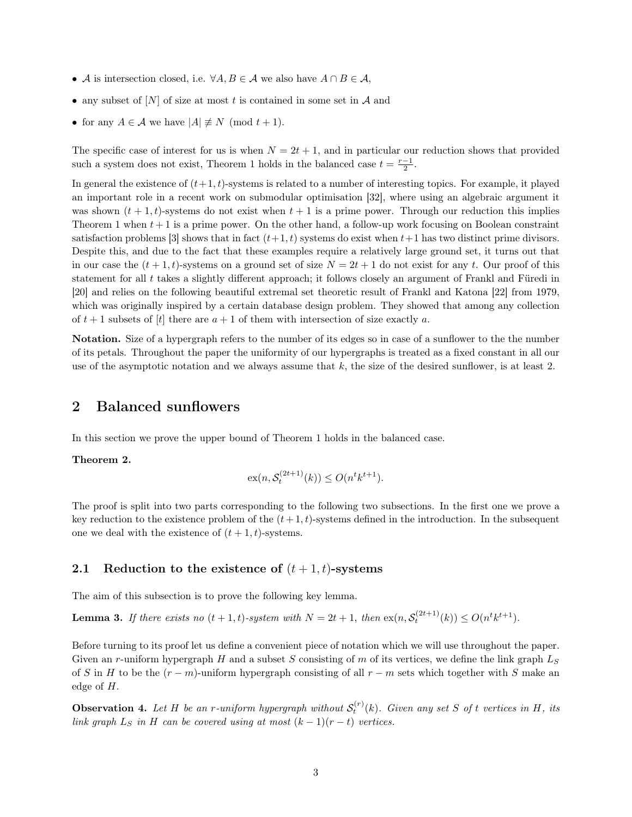- A is intersection closed, i.e.  $\forall A, B \in \mathcal{A}$  we also have  $A \cap B \in \mathcal{A}$ ,
- any subset of  $[N]$  of size at most t is contained in some set in A and
- for any  $A \in \mathcal{A}$  we have  $|A| \not\equiv N \pmod{t+1}$ .

The specific case of interest for us is when  $N = 2t + 1$ , and in particular our reduction shows that provided such a system does not exist, Theorem [1](#page-1-2) holds in the balanced case  $t = \frac{r-1}{2}$ .

In general the existence of  $(t+1, t)$ -systems is related to a number of interesting topics. For example, it played an important role in a recent work on submodular optimisation [\[32\]](#page-12-5), where using an algebraic argument it was shown  $(t + 1, t)$ -systems do not exist when  $t + 1$  is a prime power. Through our reduction this implies Theorem [1](#page-1-2) when  $t + 1$  is a prime power. On the other hand, a follow-up work focusing on Boolean constraint satisfaction problems [\[3\]](#page-11-24) shows that in fact  $(t+1, t)$  systems do exist when  $t+1$  has two distinct prime divisors. Despite this, and due to the fact that these examples require a relatively large ground set, it turns out that in our case the  $(t + 1, t)$ -systems on a ground set of size  $N = 2t + 1$  do not exist for any t. Our proof of this statement for all t takes a slightly different approach; it follows closely an argument of Frankl and Füredi in [\[20\]](#page-11-4) and relies on the following beautiful extremal set theoretic result of Frankl and Katona [\[22\]](#page-11-25) from 1979, which was originally inspired by a certain database design problem. They showed that among any collection of  $t + 1$  subsets of  $[t]$  there are  $a + 1$  of them with intersection of size exactly a.

Notation. Size of a hypergraph refers to the number of its edges so in case of a sunflower to the the number of its petals. Throughout the paper the uniformity of our hypergraphs is treated as a fixed constant in all our use of the asymptotic notation and we always assume that  $k$ , the size of the desired sunflower, is at least 2.

### 2 Balanced sunflowers

<span id="page-2-2"></span>In this section we prove the upper bound of Theorem [1](#page-1-2) holds in the balanced case.

Theorem 2.

$$
\mathrm{ex}(n, \mathcal{S}_t^{(2t+1)}(k)) \leq O(n^t k^{t+1}).
$$

The proof is split into two parts corresponding to the following two subsections. In the first one we prove a key reduction to the existence problem of the  $(t+1, t)$ -systems defined in the introduction. In the subsequent one we deal with the existence of  $(t + 1, t)$ -systems.

#### 2.1 Reduction to the existence of  $(t + 1, t)$ -systems

The aim of this subsection is to prove the following key lemma.

<span id="page-2-0"></span>**Lemma 3.** If there exists no  $(t + 1, t)$ -system with  $N = 2t + 1$ , then  $ex(n, S_t^{(2t+1)}(k)) \le O(n^t k^{t+1})$ .

Before turning to its proof let us define a convenient piece of notation which we will use throughout the paper. Given an r-uniform hypergraph H and a subset S consisting of m of its vertices, we define the link graph  $L_S$ of S in H to be the  $(r - m)$ -uniform hypergraph consisting of all  $r - m$  sets which together with S make an edge of H.

<span id="page-2-1"></span>**Observation 4.** Let H be an r-uniform hypergraph without  $S_t^{(r)}(k)$ . Given any set S of t vertices in H, its link graph  $L<sub>S</sub>$  in H can be covered using at most  $(k-1)(r-t)$  vertices.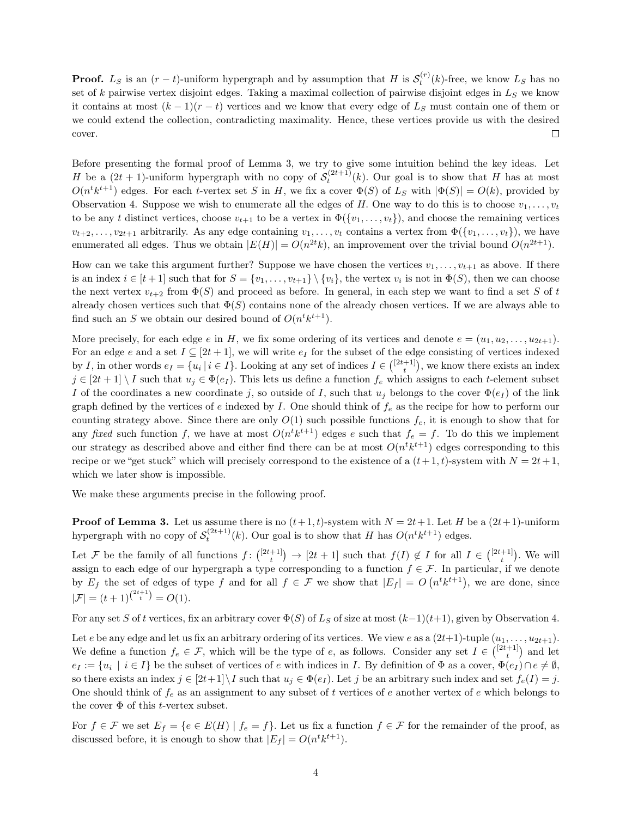**Proof.** L<sub>S</sub> is an  $(r-t)$ -uniform hypergraph and by assumption that H is  $S_t^{(r)}(k)$ -free, we know L<sub>S</sub> has no set of k pairwise vertex disjoint edges. Taking a maximal collection of pairwise disjoint edges in  $L<sub>S</sub>$  we know it contains at most  $(k-1)(r-t)$  vertices and we know that every edge of  $L<sub>S</sub>$  must contain one of them or we could extend the collection, contradicting maximality. Hence, these vertices provide us with the desired cover.  $\Box$ 

Before presenting the formal proof of Lemma [3,](#page-2-0) we try to give some intuition behind the key ideas. Let H be a  $(2t + 1)$ -uniform hypergraph with no copy of  $\mathcal{S}_t^{(2t+1)}(k)$ . Our goal is to show that H has at most  $O(n^t k^{t+1})$  edges. For each t-vertex set S in H, we fix a cover  $\Phi(S)$  of  $L_S$  with  $|\Phi(S)| = O(k)$ , provided by Observation [4.](#page-2-1) Suppose we wish to enumerate all the edges of H. One way to do this is to choose  $v_1, \ldots, v_t$ to be any t distinct vertices, choose  $v_{t+1}$  to be a vertex in  $\Phi({v_1},\ldots,v_t)$ , and choose the remaining vertices  $v_{t+2}, \ldots, v_{2t+1}$  arbitrarily. As any edge containing  $v_1, \ldots, v_t$  contains a vertex from  $\Phi({v_1}, \ldots, v_t)$ , we have enumerated all edges. Thus we obtain  $|E(H)| = O(n^{2t}k)$ , an improvement over the trivial bound  $O(n^{2t+1})$ .

How can we take this argument further? Suppose we have chosen the vertices  $v_1, \ldots, v_{t+1}$  as above. If there is an index  $i \in [t+1]$  such that for  $S = \{v_1, \ldots, v_{t+1}\} \setminus \{v_i\}$ , the vertex  $v_i$  is not in  $\Phi(S)$ , then we can choose the next vertex  $v_{t+2}$  from  $\Phi(S)$  and proceed as before. In general, in each step we want to find a set S of t already chosen vertices such that  $\Phi(S)$  contains none of the already chosen vertices. If we are always able to find such an S we obtain our desired bound of  $O(n^t k^{t+1})$ .

More precisely, for each edge e in H, we fix some ordering of its vertices and denote  $e = (u_1, u_2, \ldots, u_{2t+1})$ . For an edge e and a set  $I \subseteq [2t+1]$ , we will write  $e_I$  for the subset of the edge consisting of vertices indexed by I, in other words  $e_I = \{u_i \mid i \in I\}$ . Looking at any set of indices  $I \in \binom{[2t+1]}{t}$ , we know there exists an index  $j \in [2t+1] \setminus I$  such that  $u_j \in \Phi(e_I)$ . This lets us define a function  $f_e$  which assigns to each t-element subset I of the coordinates a new coordinate j, so outside of I, such that  $u_j$  belongs to the cover  $\Phi(e_I)$  of the link graph defined by the vertices of e indexed by I. One should think of  $f_e$  as the recipe for how to perform our counting strategy above. Since there are only  $O(1)$  such possible functions  $f_e$ , it is enough to show that for any fixed such function f, we have at most  $O(n^t k^{t+1})$  edges e such that  $f_e = f$ . To do this we implement our strategy as described above and either find there can be at most  $O(n^t k^{t+1})$  edges corresponding to this recipe or we "get stuck" which will precisely correspond to the existence of a  $(t+1, t)$ -system with  $N = 2t+1$ , which we later show is impossible.

We make these arguments precise in the following proof.

**Proof of Lemma [3.](#page-2-0)** Let us assume there is no  $(t+1, t)$ -system with  $N = 2t+1$ . Let H be a  $(2t+1)$ -uniform hypergraph with no copy of  $S_t^{(2t+1)}(k)$ . Our goal is to show that H has  $O(n^t k^{t+1})$  edges.

Let F be the family of all functions  $f: \binom{[2t+1]}{t} \to [2t+1]$  such that  $f(I) \notin I$  for all  $I \in \binom{[2t+1]}{t}$ . We will assign to each edge of our hypergraph a type corresponding to a function  $f \in \mathcal{F}$ . In particular, if we denote by  $E_f$  the set of edges of type f and for all  $f \in \mathcal{F}$  we show that  $|E_f| = O(n^t k^{t+1})$ , we are done, since  $|\mathcal{F}| = (t+1)^{\binom{2t+1}{t}} = O(1).$ 

For any set S of t vertices, fix an arbitrary cover  $\Phi(S)$  of L<sub>S</sub> of size at most  $(k-1)(t+1)$ , given by Observation [4.](#page-2-1)

Let e be any edge and let us fix an arbitrary ordering of its vertices. We view e as a  $(2t+1)$ -tuple  $(u_1, \ldots, u_{2t+1})$ . We define a function  $f_e \in \mathcal{F}$ , which will be the type of e, as follows. Consider any set  $I \in \binom{[2t+1]}{t}$  and let  $e_I := \{u_i \mid i \in I\}$  be the subset of vertices of e with indices in I. By definition of  $\Phi$  as a cover,  $\Phi(e_I) \cap e \neq \emptyset$ , so there exists an index  $j \in [2t+1] \setminus I$  such that  $u_j \in \Phi(e_I)$ . Let j be an arbitrary such index and set  $f_e(I) = j$ . One should think of  $f_e$  as an assignment to any subset of t vertices of e another vertex of e which belongs to the cover  $\Phi$  of this *t*-vertex subset.

For  $f \in \mathcal{F}$  we set  $E_f = \{e \in E(H) \mid f_e = f\}$ . Let us fix a function  $f \in \mathcal{F}$  for the remainder of the proof, as discussed before, it is enough to show that  $|E_f| = O(n^t k^{t+1})$ .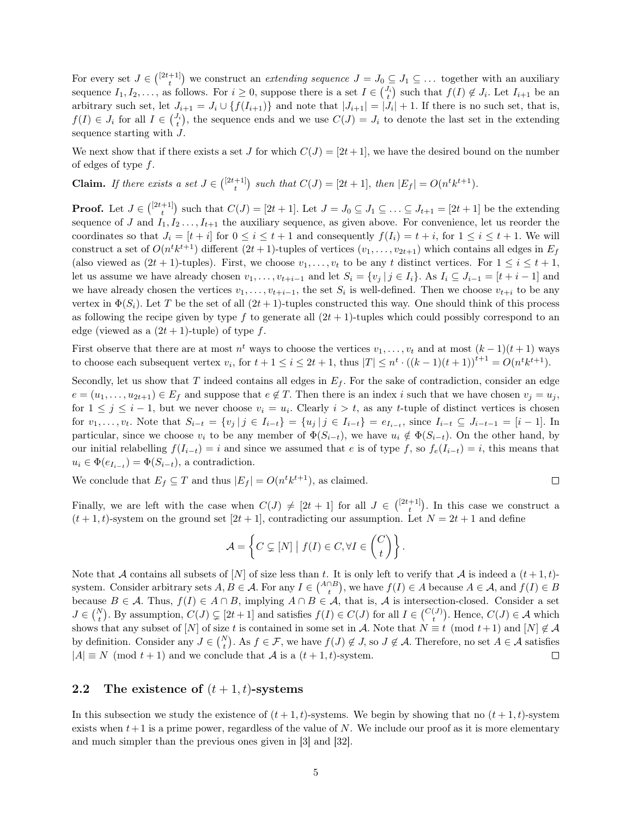For every set  $J \in \binom{[2t+1]}{t}$  we construct an *extending sequence*  $J = J_0 \subseteq J_1 \subseteq \ldots$  together with an auxiliary sequence  $I_1, I_2, \ldots$ , as follows. For  $i \geq 0$ , suppose there is a set  $I \in \binom{J_i}{t}$  such that  $f(I) \notin J_i$ . Let  $I_{i+1}$  be an arbitrary such set, let  $J_{i+1} = J_i \cup \{f(I_{i+1})\}\$ and note that  $|J_{i+1}| = |J_i| + 1$ . If there is no such set, that is,  $f(I) \in J_i$  for all  $I \in \binom{J_i}{t}$ , the sequence ends and we use  $C(J) = J_i$  to denote the last set in the extending sequence starting with J.

We next show that if there exists a set J for which  $C(J) = [2t+1]$ , we have the desired bound on the number of edges of type  $f$ .

**Claim.** If there exists a set  $J \in \binom{[2t+1]}{t}$  such that  $C(J) = [2t+1]$ , then  $|E_f| = O(n^t k^{t+1})$ .

**Proof.** Let  $J \in \binom{[2t+1]}{t}$  such that  $C(J) = [2t+1]$ . Let  $J = J_0 \subseteq J_1 \subseteq \ldots \subseteq J_{t+1} = [2t+1]$  be the extending sequence of J and  $I_1, I_2, \ldots, I_{t+1}$  the auxiliary sequence, as given above. For convenience, let us reorder the coordinates so that  $J_i = [t + i]$  for  $0 \le i \le t + 1$  and consequently  $f(I_i) = t + i$ , for  $1 \le i \le t + 1$ . We will construct a set of  $O(n^t k^{t+1})$  different  $(2t+1)$ -tuples of vertices  $(v_1, \ldots, v_{2t+1})$  which contains all edges in  $E_f$ (also viewed as  $(2t + 1)$ -tuples). First, we choose  $v_1, \ldots, v_t$  to be any t distinct vertices. For  $1 \le i \le t + 1$ , let us assume we have already chosen  $v_1, \ldots, v_{t+i-1}$  and let  $S_i = \{v_j | j \in I_i\}$ . As  $I_i \subseteq J_{i-1} = [t + i - 1]$  and we have already chosen the vertices  $v_1, \ldots, v_{t+i-1}$ , the set  $S_i$  is well-defined. Then we choose  $v_{t+i}$  to be any vertex in  $\Phi(S_i)$ . Let T be the set of all  $(2t+1)$ -tuples constructed this way. One should think of this process as following the recipe given by type f to generate all  $(2t + 1)$ -tuples which could possibly correspond to an edge (viewed as a  $(2t + 1)$ -tuple) of type f.

First observe that there are at most  $n^t$  ways to choose the vertices  $v_1, \ldots, v_t$  and at most  $(k-1)(t+1)$  ways to choose each subsequent vertex  $v_i$ , for  $t + 1 \leq i \leq 2t + 1$ , thus  $|T| \leq n^t \cdot ((k-1)(t+1))^{t+1} = O(n^t k^{t+1})$ .

Secondly, let us show that  $T$  indeed contains all edges in  $E_f$ . For the sake of contradiction, consider an edge  $e = (u_1, \ldots, u_{2t+1}) \in E_f$  and suppose that  $e \notin T$ . Then there is an index i such that we have chosen  $v_j = u_j$ , for  $1 \leq j \leq i-1$ , but we never choose  $v_i = u_i$ . Clearly  $i > t$ , as any t-tuple of distinct vertices is chosen for  $v_1, \ldots, v_t$ . Note that  $S_{i-t} = \{v_j | j \in I_{i-t}\} = \{u_j | j \in I_{i-t}\} = e_{I_{i-t}}$ , since  $I_{i-t} \subseteq J_{i-t-1} = [i-1]$ . In particular, since we choose  $v_i$  to be any member of  $\Phi(S_{i-t})$ , we have  $u_i \notin \Phi(S_{i-t})$ . On the other hand, by our initial relabelling  $f(I_{i-t}) = i$  and since we assumed that e is of type f, so  $f_e(I_{i-t}) = i$ , this means that  $u_i \in \Phi(e_{I_{i-t}}) = \Phi(S_{i-t}),$  a contradiction.

We conclude that  $E_f \subseteq T$  and thus  $|E_f| = O(n^t k^{t+1})$ , as claimed.

 $\Box$ 

Finally, we are left with the case when  $C(J) \neq [2t + 1]$  for all  $J \in \binom{[2t+1]}{t}$ . In this case we construct a  $(t + 1, t)$ -system on the ground set  $[2t + 1]$ , contradicting our assumption. Let  $N = 2t + 1$  and define

$$
\mathcal{A} = \left\{ C \subsetneq [N] \mid f(I) \in C, \forall I \in \binom{C}{t} \right\}.
$$

Note that A contains all subsets of [N] of size less than t. It is only left to verify that A is indeed a  $(t + 1, t)$ system. Consider arbitrary sets  $A, B \in \mathcal{A}$ . For any  $I \in \binom{A \cap B}{t}$ , we have  $f(I) \in A$  because  $A \in \mathcal{A}$ , and  $f(I) \in B$ because  $B \in \mathcal{A}$ . Thus,  $f(I) \in A \cap B$ , implying  $A \cap B \in \mathcal{A}$ , that is,  $\mathcal{A}$  is intersection-closed. Consider a set  $J \in \binom{N}{t}$ . By assumption,  $C(J) \subsetneq [2t+1]$  and satisfies  $f(I) \in C(J)$  for all  $I \in \binom{C(J)}{t}$ . Hence,  $C(J) \in \mathcal{A}$  which shows that any subset of  $[N]$  of size t is contained in some set in A. Note that  $N \equiv t \pmod{t+1}$  and  $[N] \notin \mathcal{A}$ by definition. Consider any  $J \in \binom{N}{t}$ . As  $f \in \mathcal{F}$ , we have  $f(J) \notin J$ , so  $J \notin \mathcal{A}$ . Therefore, no set  $A \in \mathcal{A}$  satisfies  $|A| \equiv N \pmod{t+1}$  and we conclude that A is a  $(t+1, t)$ -system.  $\Box$ 

### 2.2 The existence of  $(t + 1, t)$ -systems

In this subsection we study the existence of  $(t + 1, t)$ -systems. We begin by showing that no  $(t + 1, t)$ -system exists when  $t+1$  is a prime power, regardless of the value of N. We include our proof as it is more elementary and much simpler than the previous ones given in [\[3\]](#page-11-24) and [\[32\]](#page-12-5).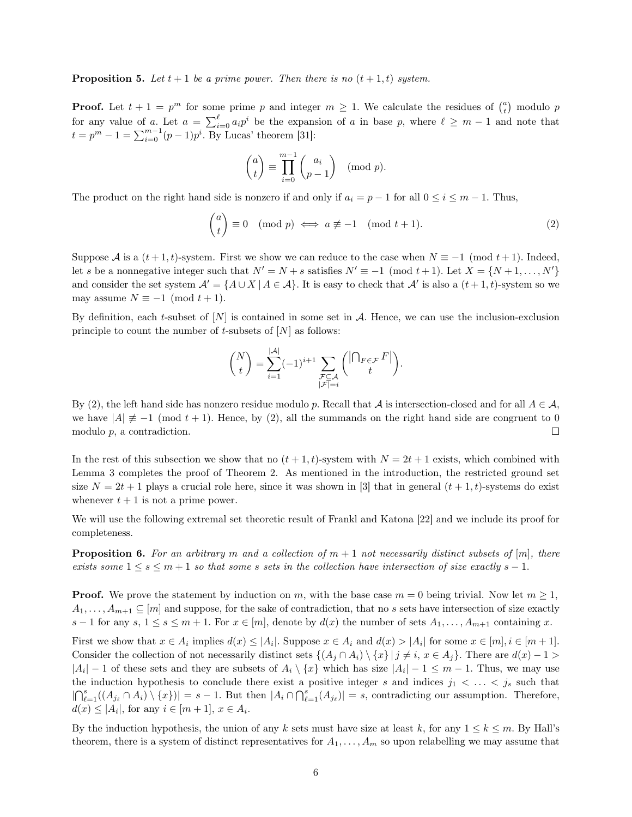**Proposition 5.** Let  $t + 1$  be a prime power. Then there is no  $(t + 1, t)$  system.

**Proof.** Let  $t + 1 = p^m$  for some prime p and integer  $m \ge 1$ . We calculate the residues of  $\binom{a}{t}$  modulo p for any value of a. Let  $a = \sum_{i=0}^{\ell} a_i p^i$  be the expansion of a in base p, where  $\ell \geq m-1$  and note that  $t = p^m - 1 = \sum_{i=0}^{m-1} (p-1)p^i$ . By Lucas' theorem [\[31\]](#page-11-26):

$$
\binom{a}{t} \equiv \prod_{i=0}^{m-1} \binom{a_i}{p-1} \pmod{p}.
$$

The product on the right hand side is nonzero if and only if  $a_i = p - 1$  for all  $0 \le i \le m - 1$ . Thus,

<span id="page-5-0"></span>
$$
\binom{a}{t} \equiv 0 \pmod{p} \iff a \not\equiv -1 \pmod{t+1}.\tag{2}
$$

Suppose A is a  $(t+1,t)$ -system. First we show we can reduce to the case when  $N \equiv -1 \pmod{t+1}$ . Indeed, let s be a nonnegative integer such that  $N' = N + s$  satisfies  $N' \equiv -1 \pmod{t+1}$ . Let  $X = \{N+1, \ldots, N'\}$ and consider the set system  $\mathcal{A}' = \{A \cup X \mid A \in \mathcal{A}\}\.$  It is easy to check that  $\mathcal{A}'$  is also a  $(t+1,t)$ -system so we may assume  $N \equiv -1 \pmod{t+1}$ .

By definition, each t-subset of  $[N]$  is contained in some set in A. Hence, we can use the inclusion-exclusion principle to count the number of t-subsets of  $[N]$  as follows:

$$
\binom{N}{t} = \sum_{i=1}^{|\mathcal{A}|} (-1)^{i+1} \sum_{\substack{\mathcal{F} \subseteq \mathcal{A} \\ |\mathcal{F}| = i}} \binom{\left| \bigcap_{F \in \mathcal{F}} F \right|}{t}.
$$

By [\(2\)](#page-5-0), the left hand side has nonzero residue modulo p. Recall that A is intersection-closed and for all  $A \in \mathcal{A}$ , we have  $|A| \neq -1$  (mod  $t + 1$ ). Hence, by [\(2\)](#page-5-0), all the summands on the right hand side are congruent to 0 modulo  $p$ , a contradiction.  $\Box$ 

In the rest of this subsection we show that no  $(t + 1, t)$ -system with  $N = 2t + 1$  exists, which combined with Lemma [3](#page-2-0) completes the proof of Theorem [2.](#page-2-2) As mentioned in the introduction, the restricted ground set size  $N = 2t + 1$  plays a crucial role here, since it was shown in [\[3\]](#page-11-24) that in general  $(t + 1, t)$ -systems do exist whenever  $t + 1$  is not a prime power.

We will use the following extremal set theoretic result of Frankl and Katona [\[22\]](#page-11-25) and we include its proof for completeness.

<span id="page-5-1"></span>**Proposition 6.** For an arbitrary m and a collection of  $m + 1$  not necessarily distinct subsets of  $[m]$ , there exists some  $1 \leq s \leq m+1$  so that some s sets in the collection have intersection of size exactly  $s-1$ .

**Proof.** We prove the statement by induction on m, with the base case  $m = 0$  being trivial. Now let  $m \ge 1$ ,  $A_1, \ldots, A_{m+1} \subseteq [m]$  and suppose, for the sake of contradiction, that no s sets have intersection of size exactly s − 1 for any s,  $1 \leq s \leq m+1$ . For  $x \in [m]$ , denote by  $d(x)$  the number of sets  $A_1, \ldots, A_{m+1}$  containing x.

First we show that  $x \in A_i$  implies  $d(x) \leq |A_i|$ . Suppose  $x \in A_i$  and  $d(x) > |A_i|$  for some  $x \in [m], i \in [m+1]$ . Consider the collection of not necessarily distinct sets  $\{(A_i \cap A_i) \setminus \{x\} | j \neq i, x \in A_i\}$ . There are  $d(x) - 1 >$  $|A_i| - 1$  of these sets and they are subsets of  $A_i \setminus \{x\}$  which has size  $|A_i| - 1 \leq m - 1$ . Thus, we may use the induction hypothesis to conclude there exist a positive integer s and indices  $j_1$  < ... <  $j_s$  such that  $|\bigcap_{\ell=1}^s ((A_{j_\ell} \cap A_i) \setminus \{x\})| = s - 1$ . But then  $|A_i \cap \bigcap_{\ell=1}^s (A_{j_\ell})| = s$ , contradicting our assumption. Therefore,  $d(x) \leq |A_i|$ , for any  $i \in [m+1]$ ,  $x \in A_i$ .

By the induction hypothesis, the union of any k sets must have size at least k, for any  $1 \leq k \leq m$ . By Hall's theorem, there is a system of distinct representatives for  $A_1, \ldots, A_m$  so upon relabelling we may assume that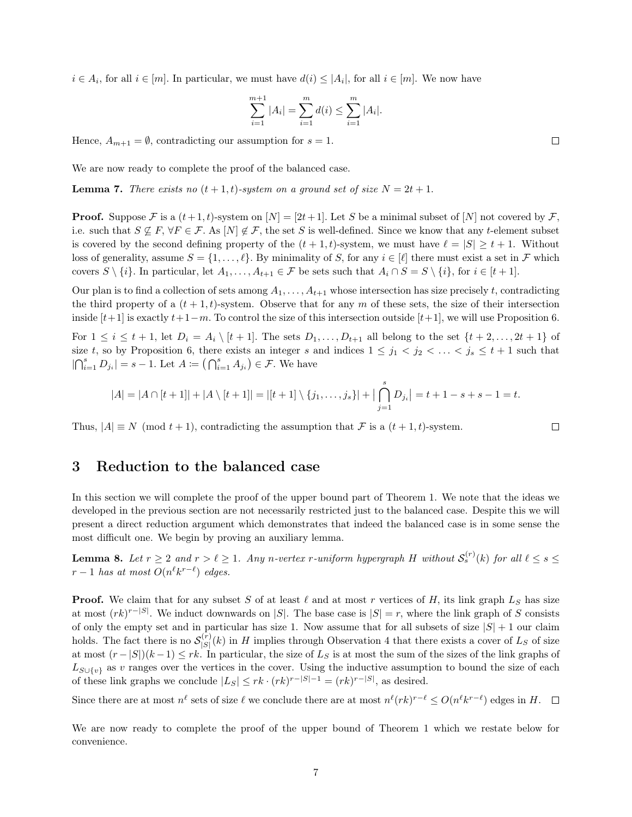$i \in A_i$ , for all  $i \in [m]$ . In particular, we must have  $d(i) \leq |A_i|$ , for all  $i \in [m]$ . We now have

$$
\sum_{i=1}^{m+1} |A_i| = \sum_{i=1}^{m} d(i) \le \sum_{i=1}^{m} |A_i|.
$$

Hence,  $A_{m+1} = \emptyset$ , contradicting our assumption for  $s = 1$ .

We are now ready to complete the proof of the balanced case.

**Lemma 7.** There exists no  $(t + 1, t)$ -system on a ground set of size  $N = 2t + 1$ .

**Proof.** Suppose F is a  $(t+1, t)$ -system on  $[N] = [2t+1]$ . Let S be a minimal subset of  $[N]$  not covered by F, i.e. such that  $S \nsubseteq F$ ,  $\forall F \in \mathcal{F}$ . As  $[N] \notin \mathcal{F}$ , the set S is well-defined. Since we know that any t-element subset is covered by the second defining property of the  $(t + 1, t)$ -system, we must have  $\ell = |S| \ge t + 1$ . Without loss of generality, assume  $S = \{1, \ldots, \ell\}$ . By minimality of S, for any  $i \in [\ell]$  there must exist a set in F which covers  $S \setminus \{i\}$ . In particular, let  $A_1, \ldots, A_{t+1} \in \mathcal{F}$  be sets such that  $A_i \cap S = S \setminus \{i\}$ , for  $i \in [t+1]$ .

Our plan is to find a collection of sets among  $A_1, \ldots, A_{t+1}$  whose intersection has size precisely t, contradicting the third property of a  $(t + 1, t)$ -system. Observe that for any m of these sets, the size of their intersection inside  $[t+1]$  is exactly  $t+1-m$ . To control the size of this intersection outside  $[t+1]$ , we will use Proposition [6.](#page-5-1)

For  $1 \leq i \leq t+1$ , let  $D_i = A_i \setminus [t+1]$ . The sets  $D_1, \ldots, D_{t+1}$  all belong to the set  $\{t+2, \ldots, 2t+1\}$  of size t, so by Proposition [6,](#page-5-1) there exists an integer s and indices  $1 \leq j_1 < j_2 < \ldots < j_s \leq t+1$  such that  $|\bigcap_{i=1}^s D_{j_i}| = s - 1$ . Let  $A := \bigcap_{i=1}^s A_{j_i}\big) \in \mathcal{F}$ . We have

$$
|A| = |A \cap [t+1]| + |A \setminus [t+1]| = |[t+1] \setminus \{j_1, \ldots, j_s\}| + |\bigcap_{j=1}^s D_{j_i}| = t+1-s+s-1 = t.
$$

Thus,  $|A| \equiv N \pmod{t+1}$ , contradicting the assumption that F is a  $(t+1,t)$ -system.

 $\Box$ 

### 3 Reduction to the balanced case

In this section we will complete the proof of the upper bound part of Theorem [1.](#page-1-2) We note that the ideas we developed in the previous section are not necessarily restricted just to the balanced case. Despite this we will present a direct reduction argument which demonstrates that indeed the balanced case is in some sense the most difficult one. We begin by proving an auxiliary lemma.

<span id="page-6-0"></span>**Lemma 8.** Let  $r \geq 2$  and  $r > \ell \geq 1$ . Any n-vertex r-uniform hypergraph H without  $S_s^{(r)}(k)$  for all  $\ell \leq s \leq 1$ .  $r-1$  has at most  $O(n^{\ell}k^{r-\ell})$  edges.

**Proof.** We claim that for any subset S of at least  $\ell$  and at most r vertices of H, its link graph  $L_S$  has size at most  $(rk)^{r-|S|}$ . We induct downwards on |S|. The base case is  $|S|=r$ , where the link graph of S consists of only the empty set and in particular has size 1. Now assume that for all subsets of size  $|S| + 1$  our claim holds. The fact there is no  $\mathcal{S}_{\{S\}}^{(r)}$  $\binom{S}{|S|}(k)$  in H implies through Observation [4](#page-2-1) that there exists a cover of  $L_S$  of size at most  $(r-|S|)(k-1) \leq rk$ . In particular, the size of  $L_S$  is at most the sum of the sizes of the link graphs of  $L_{S\cup\{v\}}$  as v ranges over the vertices in the cover. Using the inductive assumption to bound the size of each of these link graphs we conclude  $|L_S| \leq rk \cdot (rk)^{r-|S|-1} = (rk)^{r-|S|}$ , as desired.

Since there are at most  $n^{\ell}$  sets of size  $\ell$  we conclude there are at most  $n^{\ell}(rk)^{r-\ell} \leq O(n^{\ell}k^{r-\ell})$  edges in H.

We are now ready to complete the proof of the upper bound of Theorem [1](#page-1-2) which we restate below for convenience.

 $\Box$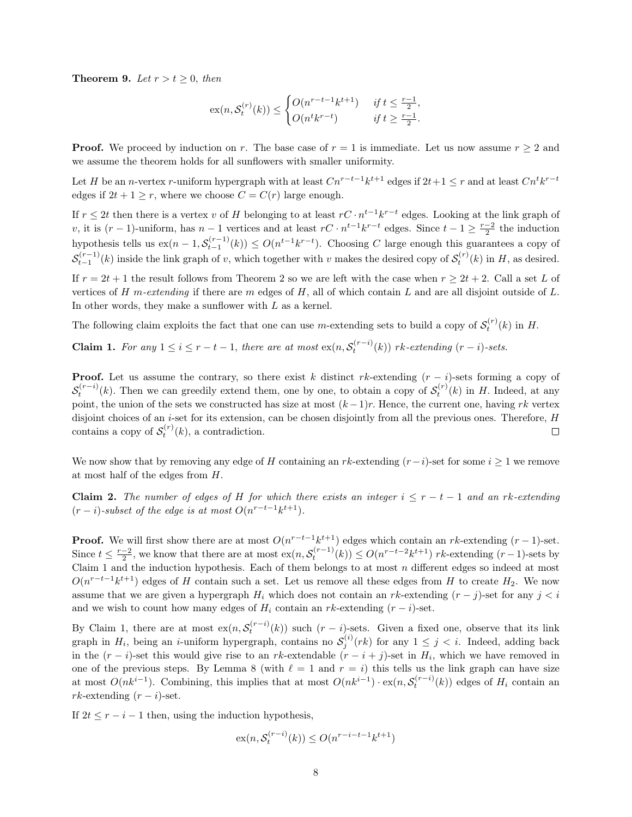**Theorem 9.** Let  $r > t \geq 0$ , then

$$
\mathrm{ex}(n, \mathcal{S}_t^{(r)}(k)) \le \begin{cases} O(n^{r-t-1}k^{t+1}) & \text{if } t \le \frac{r-1}{2}, \\ O(n^tk^{r-t}) & \text{if } t \ge \frac{r-1}{2}. \end{cases}
$$

**Proof.** We proceed by induction on r. The base case of  $r = 1$  is immediate. Let us now assume  $r \geq 2$  and we assume the theorem holds for all sunflowers with smaller uniformity.

Let H be an n-vertex r-uniform hypergraph with at least  $Cn^{r-t-1}k^{t+1}$  edges if  $2t+1 \leq r$  and at least  $Cn^t k^{r-t}$ edges if  $2t + 1 \geq r$ , where we choose  $C = C(r)$  large enough.

If  $r \leq 2t$  then there is a vertex v of H belonging to at least  $rC \cdot n^{t-1}k^{r-t}$  edges. Looking at the link graph of v, it is  $(r-1)$ -uniform, has  $n-1$  vertices and at least  $rC \cdot n^{t-1}k^{r-t}$  edges. Since  $t-1 \geq \frac{r-2}{2}$  the induction hypothesis tells us  $ex(n-1, \mathcal{S}_{t-1}^{(r-1)}(k)) \leq O(n^{t-1}k^{r-t})$ . Choosing C large enough this guarantees a copy of  $S_{t-1}^{(r-1)}(k)$  inside the link graph of v, which together with v makes the desired copy of  $S_t^{(r)}(k)$  in H, as desired.

If  $r = 2t + 1$  $r = 2t + 1$  $r = 2t + 1$  the result follows from Theorem 2 so we are left with the case when  $r \ge 2t + 2$ . Call a set L of vertices of H m-extending if there are m edges of H, all of which contain L and are all disjoint outside of  $L$ . In other words, they make a sunflower with  $L$  as a kernel.

The following claim exploits the fact that one can use m-extending sets to build a copy of  $\mathcal{S}_t^{(r)}(k)$  in H.

<span id="page-7-0"></span>**Claim 1.** For any  $1 \leq i \leq r-t-1$ , there are at most  $ex(n, S_t^{(r-i)}(k))$  rk-extending  $(r-i)$ -sets.

**Proof.** Let us assume the contrary, so there exist k distinct rk-extending  $(r - i)$ -sets forming a copy of  $S_t^{(r-i)}(k)$ . Then we can greedily extend them, one by one, to obtain a copy of  $S_t^{(r)}(k)$  in H. Indeed, at any point, the union of the sets we constructed has size at most  $(k-1)r$ . Hence, the current one, having rk vertex disjoint choices of an *i*-set for its extension, can be chosen disjointly from all the previous ones. Therefore, H contains a copy of  $S_t^{(r)}(k)$ , a contradiction.  $\Box$ 

We now show that by removing any edge of H containing an rk-extending  $(r-i)$ -set for some  $i \geq 1$  we remove at most half of the edges from H.

Claim 2. The number of edges of H for which there exists an integer  $i \leq r - t - 1$  and an rk-extending  $(r-i)$ -subset of the edge is at most  $O(n^{r-t-1}k^{t+1})$ .

**Proof.** We will first show there are at most  $O(n^{r-t-1}k^{t+1})$  edges which contain an rk-extending  $(r-1)$ -set. Since  $t \leq \frac{r-2}{2}$ , we know that there are at most  $\operatorname{ex}(n, \mathcal{S}_t^{(r-1)}(k)) \leq O(n^{r-t-2}k^{t+1})$  rk-extending  $(r-1)$ -sets by Claim [1](#page-7-0) and the induction hypothesis. Each of them belongs to at most  $n$  different edges so indeed at most  $O(n^{r-t-1}k^{t+1})$  edges of H contain such a set. Let us remove all these edges from H to create  $H_2$ . We now assume that we are given a hypergraph  $H_i$  which does not contain an rk-extending  $(r - j)$ -set for any  $j < i$ and we wish to count how many edges of  $H_i$  contain an rk-extending  $(r - i)$ -set.

By Claim [1,](#page-7-0) there are at most  $ex(n, S_t^{(r-i)}(k))$  such  $(r-i)$ -sets. Given a fixed one, observe that its link graph in  $H_i$ , being an *i*-uniform hypergraph, contains no  $S_j^{(i)}(rk)$  for any  $1 \leq j \leq i$ . Indeed, adding back in the  $(r - i)$ -set this would give rise to an rk-extendable  $(r - i + j)$ -set in  $H_i$ , which we have removed in one of the previous steps. By Lemma [8](#page-6-0) (with  $\ell = 1$  and  $r = i$ ) this tells us the link graph can have size at most  $O(nk^{i-1})$ . Combining, this implies that at most  $O(nk^{i-1}) \cdot \text{ex}(n, \mathcal{S}_t^{(r-i)}(k))$  edges of  $H_i$  contain an  $rk$ -extending  $(r - i)$ -set.

If  $2t \leq r - i - 1$  then, using the induction hypothesis,

$$
\mathrm{ex}(n, \mathcal{S}_t^{(r-i)}(k)) \le O(n^{r-i-t-1}k^{t+1})
$$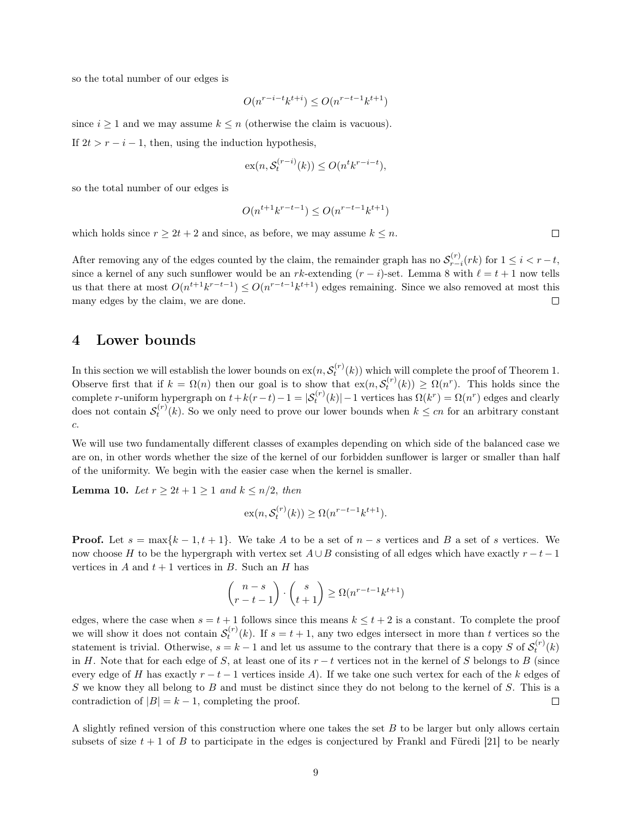so the total number of our edges is

$$
O(n^{r-i-t}k^{t+i}) \le O(n^{r-t-1}k^{t+1})
$$

since  $i \geq 1$  and we may assume  $k \leq n$  (otherwise the claim is vacuous). If  $2t > r - i - 1$ , then, using the induction hypothesis,

$$
\mathrm{ex}(n, \mathcal{S}_t^{(r-i)}(k)) \le O(n^t k^{r-i-t}),
$$

so the total number of our edges is

$$
O(n^{t+1}k^{r-t-1}) \le O(n^{r-t-1}k^{t+1})
$$

which holds since  $r \geq 2t + 2$  and since, as before, we may assume  $k \leq n$ .

After removing any of the edges counted by the claim, the remainder graph has no  $S_{r-i}^{(r)}(rk)$  for  $1 \leq i < r-t$ , since a kernel of any such sunflower would be an rk-extending  $(r - i)$ -set. Lemma [8](#page-6-0) with  $\ell = t + 1$  now tells us that there at most  $O(n^{t+1}k^{r-t-1}) \leq O(n^{r-t-1}k^{t+1})$  edges remaining. Since we also removed at most this many edges by the claim, we are done.  $\Box$ 

## 4 Lower bounds

In this section we will establish the lower bounds on  $ex(n, \mathcal{S}_t^{(r)}(k))$  which will complete the proof of Theorem [1.](#page-1-2) Observe first that if  $k = \Omega(n)$  then our goal is to show that  $\exp(n, S_t^{(r)}(k)) \geq \Omega(n^r)$ . This holds since the complete r-uniform hypergraph on  $t + k(r - t) - 1 = |\mathcal{S}_t^{(r)}(k)| - 1$  vertices has  $\Omega(k^r) = \Omega(n^r)$  edges and clearly does not contain  $S_t^{(r)}(k)$ . So we only need to prove our lower bounds when  $k \leq cn$  for an arbitrary constant c.

We will use two fundamentally different classes of examples depending on which side of the balanced case we are on, in other words whether the size of the kernel of our forbidden sunflower is larger or smaller than half of the uniformity. We begin with the easier case when the kernel is smaller.

**Lemma 10.** Let  $r \geq 2t + 1 \geq 1$  and  $k \leq n/2$ , then

$$
\mathrm{ex}(n, \mathcal{S}_t^{(r)}(k)) \ge \Omega(n^{r-t-1}k^{t+1}).
$$

**Proof.** Let  $s = \max\{k-1, t+1\}$ . We take A to be a set of  $n-s$  vertices and B a set of s vertices. We now choose H to be the hypergraph with vertex set  $A \cup B$  consisting of all edges which have exactly  $r - t - 1$ vertices in A and  $t + 1$  vertices in B. Such an H has

$$
\binom{n-s}{r-t-1} \cdot \binom{s}{t+1} \ge \Omega(n^{r-t-1}k^{t+1})
$$

edges, where the case when  $s = t + 1$  follows since this means  $k \le t + 2$  is a constant. To complete the proof we will show it does not contain  $S_t^{(r)}(k)$ . If  $s = t + 1$ , any two edges intersect in more than t vertices so the statement is trivial. Otherwise,  $s = k - 1$  and let us assume to the contrary that there is a copy S of  $\mathcal{S}_t^{(r)}(k)$ in H. Note that for each edge of S, at least one of its  $r - t$  vertices not in the kernel of S belongs to B (since every edge of H has exactly  $r - t - 1$  vertices inside A). If we take one such vertex for each of the k edges of S we know they all belong to B and must be distinct since they do not belong to the kernel of S. This is a contradiction of  $|B| = k - 1$ , completing the proof.  $\Box$ 

A slightly refined version of this construction where one takes the set B to be larger but only allows certain subsets of size  $t + 1$  of B to participate in the edges is conjectured by Frankl and Füredi [\[21\]](#page-11-18) to be nearly

 $\Box$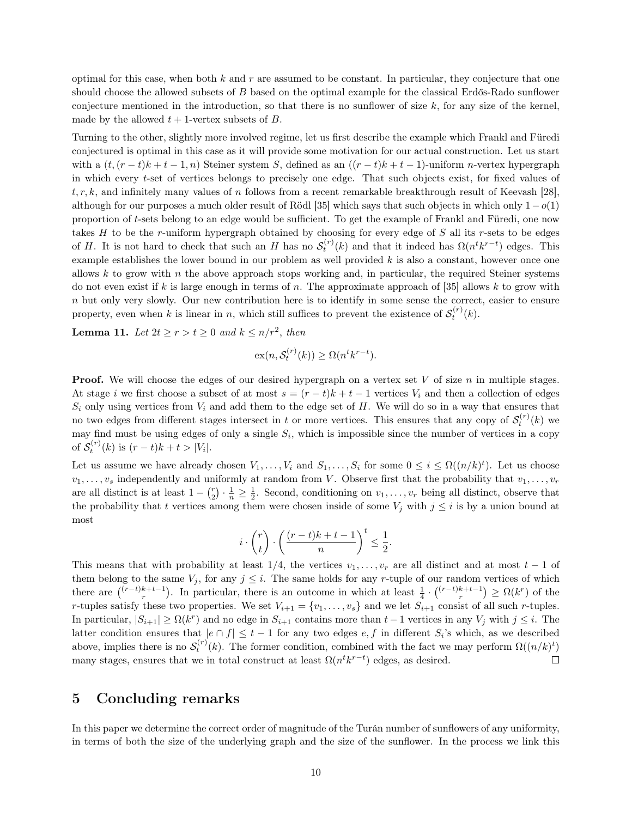optimal for this case, when both  $k$  and  $r$  are assumed to be constant. In particular, they conjecture that one should choose the allowed subsets of B based on the optimal example for the classical Erdős-Rado sunflower conjecture mentioned in the introduction, so that there is no sunflower of size  $k$ , for any size of the kernel, made by the allowed  $t + 1$ -vertex subsets of  $B$ .

Turning to the other, slightly more involved regime, let us first describe the example which Frankl and Füredi conjectured is optimal in this case as it will provide some motivation for our actual construction. Let us start with a  $(t,(r-t)k+t-1,n)$  Steiner system S, defined as an  $((r-t)k+t-1)$ -uniform n-vertex hypergraph in which every t-set of vertices belongs to precisely one edge. That such objects exist, for fixed values of  $t, r, k$ , and infinitely many values of n follows from a recent remarkable breakthrough result of Keevash [\[28\]](#page-11-27), although for our purposes a much older result of Rödl [\[35\]](#page-12-6) which says that such objects in which only  $1-o(1)$ proportion of t-sets belong to an edge would be sufficient. To get the example of Frankl and Füredi, one now takes  $H$  to be the r-uniform hypergraph obtained by choosing for every edge of  $S$  all its r-sets to be edges of H. It is not hard to check that such an H has no  $S_t^{(r)}(k)$  and that it indeed has  $\Omega(n^tk^{r-t})$  edges. This example establishes the lower bound in our problem as well provided  $k$  is also a constant, however once one allows  $k$  to grow with  $n$  the above approach stops working and, in particular, the required Steiner systems do not even exist if k is large enough in terms of n. The approximate approach of [\[35\]](#page-12-6) allows k to grow with n but only very slowly. Our new contribution here is to identify in some sense the correct, easier to ensure property, even when k is linear in n, which still suffices to prevent the existence of  $S_t^{(r)}(k)$ .

**Lemma 11.** Let  $2t \ge r > t \ge 0$  and  $k \le n/r^2$ , then

$$
\mathrm{ex}(n, \mathcal{S}_t^{(r)}(k)) \ge \Omega(n^t k^{r-t}).
$$

**Proof.** We will choose the edges of our desired hypergraph on a vertex set V of size  $n$  in multiple stages. At stage i we first choose a subset of at most  $s = (r - t)k + t - 1$  vertices  $V_i$  and then a collection of edges  $S_i$  only using vertices from  $V_i$  and add them to the edge set of H. We will do so in a way that ensures that no two edges from different stages intersect in t or more vertices. This ensures that any copy of  $S_t^{(r)}(k)$  we may find must be using edges of only a single  $S_i$ , which is impossible since the number of vertices in a copy of  $S_t^{(r)}(k)$  is  $(r-t)k + t > |V_i|$ .

Let us assume we have already chosen  $V_1, \ldots, V_i$  and  $S_1, \ldots, S_i$  for some  $0 \leq i \leq \Omega((n/k)^t)$ . Let us choose  $v_1, \ldots, v_s$  independently and uniformly at random from V. Observe first that the probability that  $v_1, \ldots, v_r$ are all distinct is at least  $1 - {r \choose 2} \cdot \frac{1}{n} \geq \frac{1}{2}$ . Second, conditioning on  $v_1, \ldots, v_r$  being all distinct, observe that the probability that t vertices among them were chosen inside of some  $V_j$  with  $j \leq i$  is by a union bound at most

$$
i\cdot \binom{r}{t}\cdot \left(\frac{(r-t)k+t-1}{n}\right)^t\leq \frac{1}{2}.
$$

This means that with probability at least  $1/4$ , the vertices  $v_1, \ldots, v_r$  are all distinct and at most  $t-1$  of them belong to the same  $V_j$ , for any  $j \leq i$ . The same holds for any r-tuple of our random vertices of which there are  $\binom{(r-t)k+t-1}{r}$ . In particular, there is an outcome in which at least  $\frac{1}{4} \cdot \binom{(r-t)k+t-1}{r} \ge \Omega(k^r)$  of the r-tuples satisfy these two properties. We set  $V_{i+1} = \{v_1, \ldots, v_s\}$  and we let  $S_{i+1}$  consist of all such r-tuples. In particular,  $|S_{i+1}| \geq \Omega(k^r)$  and no edge in  $S_{i+1}$  contains more than  $t-1$  vertices in any  $V_j$  with  $j \leq i$ . The latter condition ensures that  $|e \cap f| \leq t-1$  for any two edges  $e, f$  in different  $S_i$ 's which, as we described above, implies there is no  $\mathcal{S}_t^{(r)}(k)$ . The former condition, combined with the fact we may perform  $\Omega((n/k)^t)$ many stages, ensures that we in total construct at least  $\Omega(n^t k^{r-t})$  edges, as desired.  $\Box$ 

## 5 Concluding remarks

In this paper we determine the correct order of magnitude of the Turán number of sunflowers of any uniformity, in terms of both the size of the underlying graph and the size of the sunflower. In the process we link this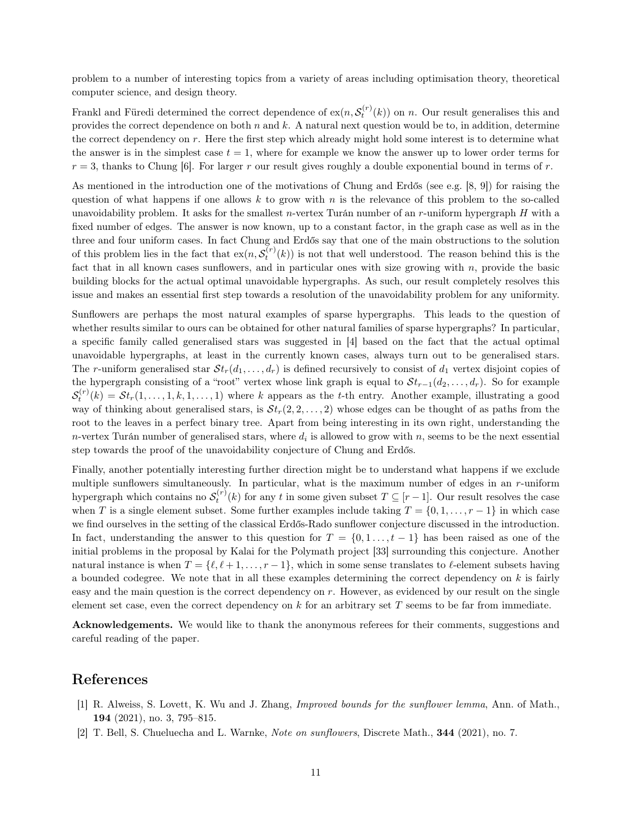problem to a number of interesting topics from a variety of areas including optimisation theory, theoretical computer science, and design theory.

Frankl and Füredi determined the correct dependence of  $ex(n, S_t^{(r)}(k))$  on n. Our result generalises this and provides the correct dependence on both  $n$  and  $k$ . A natural next question would be to, in addition, determine the correct dependency on  $r$ . Here the first step which already might hold some interest is to determine what the answer is in the simplest case  $t = 1$ , where for example we know the answer up to lower order terms for  $r = 3$ , thanks to Chung [\[6\]](#page-11-20). For larger r our result gives roughly a double exponential bound in terms of r.

As mentioned in the introduction one of the motivations of Chung and Erdős (see e.g. [\[8,](#page-11-28) [9\]](#page-11-22)) for raising the question of what happens if one allows  $k$  to grow with  $n$  is the relevance of this problem to the so-called unavoidability problem. It asks for the smallest *n*-vertex Turán number of an *r*-uniform hypergraph  $H$  with a fixed number of edges. The answer is now known, up to a constant factor, in the graph case as well as in the three and four uniform cases. In fact Chung and Erdős say that one of the main obstructions to the solution of this problem lies in the fact that  $\exp(\kappa s_t^{(r)}(k))$  is not that well understood. The reason behind this is the fact that in all known cases sunflowers, and in particular ones with size growing with  $n$ , provide the basic building blocks for the actual optimal unavoidable hypergraphs. As such, our result completely resolves this issue and makes an essential first step towards a resolution of the unavoidability problem for any uniformity.

Sunflowers are perhaps the most natural examples of sparse hypergraphs. This leads to the question of whether results similar to ours can be obtained for other natural families of sparse hypergraphs? In particular, a specific family called generalised stars was suggested in [\[4\]](#page-11-23) based on the fact that the actual optimal unavoidable hypergraphs, at least in the currently known cases, always turn out to be generalised stars. The r-uniform generalised star  $St_r(d_1, \ldots, d_r)$  is defined recursively to consist of  $d_1$  vertex disjoint copies of the hypergraph consisting of a "root" vertex whose link graph is equal to  $St_{r-1}(d_2,\ldots,d_r)$ . So for example  $S_t^{(r)}(k) = St_r(1,\ldots,1,k,1,\ldots,1)$  where k appears as the t-th entry. Another example, illustrating a good way of thinking about generalised stars, is  $St_r(2, 2, \ldots, 2)$  whose edges can be thought of as paths from the root to the leaves in a perfect binary tree. Apart from being interesting in its own right, understanding the n-vertex Turán number of generalised stars, where  $d_i$  is allowed to grow with n, seems to be the next essential step towards the proof of the unavoidability conjecture of Chung and Erdős.

Finally, another potentially interesting further direction might be to understand what happens if we exclude multiple sunflowers simultaneously. In particular, what is the maximum number of edges in an r-uniform hypergraph which contains no  $\mathcal{S}_t^{(r)}(k)$  for any t in some given subset  $T \subseteq [r-1]$ . Our result resolves the case when T is a single element subset. Some further examples include taking  $T = \{0, 1, \ldots, r - 1\}$  in which case we find ourselves in the setting of the classical Erdős-Rado sunflower conjecture discussed in the introduction. In fact, understanding the answer to this question for  $T = \{0, 1, \ldots, t-1\}$  has been raised as one of the initial problems in the proposal by Kalai for the Polymath project [\[33\]](#page-12-2) surrounding this conjecture. Another natural instance is when  $T = \{ \ell, \ell + 1, \ldots, r - 1 \}$ , which in some sense translates to  $\ell$ -element subsets having a bounded codegree. We note that in all these examples determining the correct dependency on  $k$  is fairly easy and the main question is the correct dependency on  $r$ . However, as evidenced by our result on the single element set case, even the correct dependency on  $k$  for an arbitrary set  $T$  seems to be far from immediate.

Acknowledgements. We would like to thank the anonymous referees for their comments, suggestions and careful reading of the paper.

### References

- <span id="page-10-0"></span>[1] R. Alweiss, S. Lovett, K. Wu and J. Zhang, Improved bounds for the sunflower lemma, Ann. of Math., 194 (2021), no. 3, 795–815.
- <span id="page-10-1"></span>[2] T. Bell, S. Chueluecha and L. Warnke, Note on sunflowers, Discrete Math., 344 (2021), no. 7.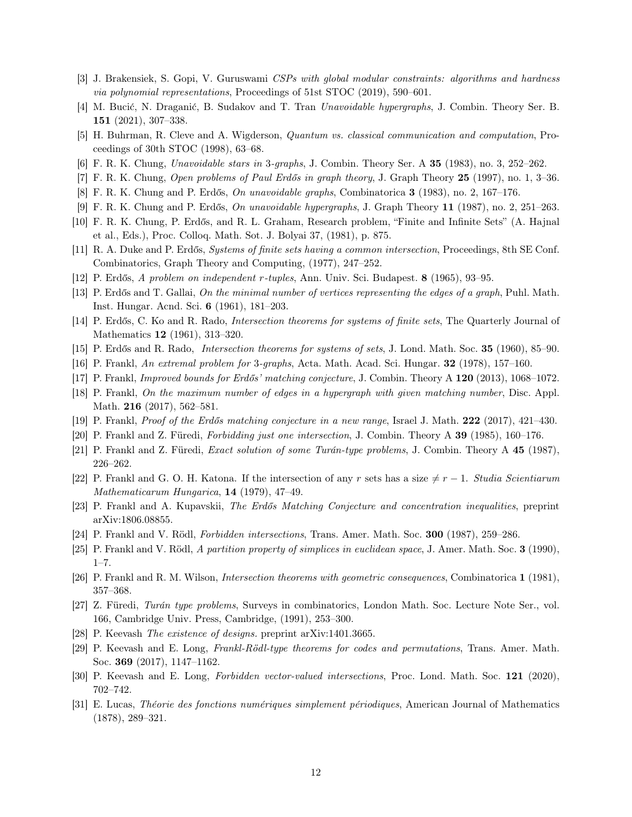- <span id="page-11-24"></span>[3] J. Brakensiek, S. Gopi, V. Guruswami CSPs with global modular constraints: algorithms and hardness via polynomial representations, Proceedings of 51st STOC (2019), 590–601.
- <span id="page-11-23"></span>[4] M. Bucić, N. Draganić, B. Sudakov and T. Tran Unavoidable hypergraphs, J. Combin. Theory Ser. B. 151 (2021), 307–338.
- <span id="page-11-10"></span>[5] H. Buhrman, R. Cleve and A. Wigderson, Quantum vs. classical communication and computation, Proceedings of 30th STOC (1998), 63–68.
- <span id="page-11-20"></span>[6] F. R. K. Chung, Unavoidable stars in 3-graphs, J. Combin. Theory Ser. A 35 (1983), no. 3, 252–262.
- <span id="page-11-2"></span>[7] F. R. K. Chung, Open problems of Paul Erdős in graph theory, J. Graph Theory 25 (1997), no. 1, 3–36.
- <span id="page-11-28"></span>[8] F. R. K. Chung and P. Erdős, On unavoidable graphs, Combinatorica 3 (1983), no. 2, 167–176.
- <span id="page-11-22"></span>[9] F. R. K. Chung and P. Erdős, On unavoidable hypergraphs, J. Graph Theory 11 (1987), no. 2, 251–263.
- <span id="page-11-21"></span>[10] F. R. K. Chung, P. Erdős, and R. L. Graham, Research problem, "Finite and Infinite Sets" (A. Hajnal et al., Eds.), Proc. Colloq. Math. Sot. J. Bolyai 37, (1981), p. 875.
- <span id="page-11-1"></span>[11] R. A. Duke and P. Erdős, Systems of finite sets having a common intersection, Proceedings, 8th SE Conf. Combinatorics, Graph Theory and Computing, (1977), 247–252.
- <span id="page-11-11"></span>[12] P. Erdős, A problem on independent r-tuples, Ann. Univ. Sci. Budapest. 8 (1965), 93–95.
- <span id="page-11-12"></span>[13] P. Erdős and T. Gallai, On the minimal number of vertices representing the edges of a graph, Puhl. Math. Inst. Hungar. Acnd. Sci. 6 (1961), 181–203.
- <span id="page-11-13"></span>[14] P. Erdős, C. Ko and R. Rado, Intersection theorems for systems of finite sets, The Quarterly Journal of Mathematics 12 (1961), 313–320.
- <span id="page-11-0"></span>[15] P. Erdős and R. Rado, Intersection theorems for systems of sets, J. Lond. Math. Soc. 35 (1960), 85–90.
- <span id="page-11-19"></span>[16] P. Frankl, An extremal problem for 3-graphs, Acta. Math. Acad. Sci. Hungar. 32 (1978), 157–160.
- <span id="page-11-14"></span>[17] P. Frankl, Improved bounds for Erdős' matching conjecture, J. Combin. Theory A 120 (2013), 1068–1072.
- <span id="page-11-15"></span>[18] P. Frankl, On the maximum number of edges in a hypergraph with given matching number, Disc. Appl. Math. **216** (2017), 562-581.
- <span id="page-11-16"></span>[19] P. Frankl, Proof of the Erdős matching conjecture in a new range, Israel J. Math. 222 (2017), 421–430.
- <span id="page-11-4"></span>[20] P. Frankl and Z. Füredi, Forbidding just one intersection, J. Combin. Theory A 39 (1985), 160–176.
- <span id="page-11-18"></span>[21] P. Frankl and Z. Füredi, Exact solution of some Turán-type problems, J. Combin. Theory A 45 (1987), 226–262.
- <span id="page-11-25"></span>[22] P. Frankl and G. O. H. Katona. If the intersection of any r sets has a size  $\neq r - 1$ . Studia Scientiarum Mathematicarum Hungarica, 14 (1979), 47–49.
- <span id="page-11-17"></span>[23] P. Frankl and A. Kupavskii, The Erdős Matching Conjecture and concentration inequalities, preprint arXiv:1806.08855.
- <span id="page-11-5"></span>[24] P. Frankl and V. Rödl, Forbidden intersections, Trans. Amer. Math. Soc. 300 (1987), 259–286.
- <span id="page-11-9"></span>[25] P. Frankl and V. Rödl, A partition property of simplices in euclidean space, J. Amer. Math. Soc. 3 (1990),  $1 - 7$ .
- <span id="page-11-6"></span>[26] P. Frankl and R. M. Wilson, Intersection theorems with geometric consequences, Combinatorica 1 (1981), 357–368.
- <span id="page-11-3"></span>[27] Z. Füredi, Turán type problems, Surveys in combinatorics, London Math. Soc. Lecture Note Ser., vol. 166, Cambridge Univ. Press, Cambridge, (1991), 253–300.
- <span id="page-11-27"></span>[28] P. Keevash The existence of designs. preprint arXiv:1401.3665.
- <span id="page-11-7"></span>[29] P. Keevash and E. Long, Frankl-Rödl-type theorems for codes and permutations, Trans. Amer. Math. Soc. 369 (2017), 1147–1162.
- <span id="page-11-8"></span>[30] P. Keevash and E. Long, Forbidden vector-valued intersections, Proc. Lond. Math. Soc. 121 (2020), 702–742.
- <span id="page-11-26"></span>[31] E. Lucas, Théorie des fonctions numériques simplement périodiques, American Journal of Mathematics (1878), 289–321.